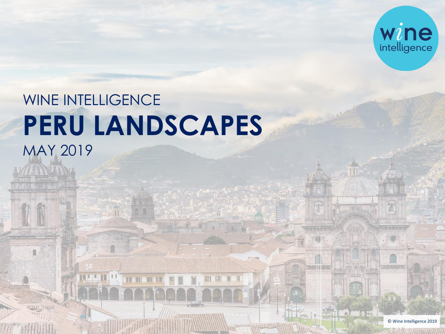

# WINE INTELLIGENCE **PERU LANDSCAPES**  MAY 2019

**TENT LENGA** 

副副目

**Peru** 

**Landscape 2019** 

1 © Wine Intelligence 2019

 $\mathbb{F}$  of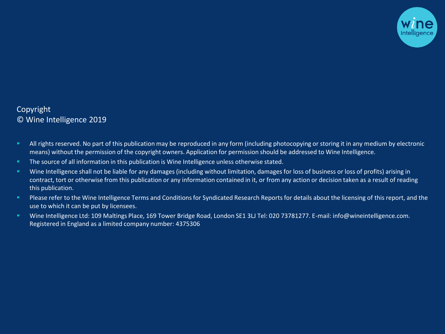

# Copyright © Wine Intelligence 2019

- <sup>■</sup> All rights reserved. No part of this publication may be reproduced in any form (including photocopying or storing it in any medium by electronic means) without the permission of the copyright owners. Application for permission should be addressed to Wine Intelligence.
- **The source of all information in this publication is Wine Intelligence unless otherwise stated.**
- **EXTENDER INTER 10 A. The Intelligence shall not be liable for any damages (including without limitation, damages for loss of business or loss of profits) arising in** contract, tort or otherwise from this publication or any information contained in it, or from any action or decision taken as a result of reading this publication.
- **Please refer to the Wine Intelligence Terms and Conditions for Syndicated Research Reports for details about the licensing of this report, and the** use to which it can be put by licensees.
- Wine Intelligence Ltd: 109 Maltings Place, 169 Tower Bridge Road, London SE1 3LJ Tel: 020 73781277. E-mail: info@wineintelligence.com. Registered in England as a limited company number: 4375306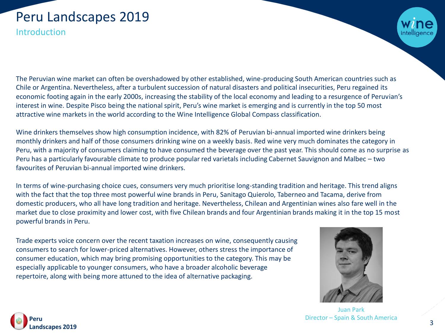# Peru Landscapes 2019

Introduction

The Peruvian wine market can often be overshadowed by other established, wine-producing South American countries such as Chile or Argentina. Nevertheless, after a turbulent succession of natural disasters and political insecurities, Peru regained its economic footing again in the early 2000s, increasing the stability of the local economy and leading to a resurgence of Peruvian's interest in wine. Despite Pisco being the national spirit, Peru's wine market is emerging and is currently in the top 50 most attractive wine markets in the world according to the Wine Intelligence Global Compass classification.

Wine drinkers themselves show high consumption incidence, with 82% of Peruvian bi-annual imported wine drinkers being monthly drinkers and half of those consumers drinking wine on a weekly basis. Red wine very much dominates the category in Peru, with a majority of consumers claiming to have consumed the beverage over the past year. This should come as no surprise as Peru has a particularly favourable climate to produce popular red varietals including Cabernet Sauvignon and Malbec – two favourites of Peruvian bi-annual imported wine drinkers.

In terms of wine-purchasing choice cues, consumers very much prioritise long-standing tradition and heritage. This trend aligns with the fact that the top three most powerful wine brands in Peru, Sanitago Quierolo, Taberneo and Tacama, derive from domestic producers, who all have long tradition and heritage. Nevertheless, Chilean and Argentinian wines also fare well in the market due to close proximity and lower cost, with five Chilean brands and four Argentinian brands making it in the top 15 most powerful brands in Peru.

Trade experts voice concern over the recent taxation increases on wine, consequently causing consumers to search for lower-priced alternatives. However, others stress the importance of consumer education, which may bring promising opportunities to the category. This may be especially applicable to younger consumers, who have a broader alcoholic beverage repertoire, along with being more attuned to the idea of alternative packaging.



Juan Park Director – Spain & South America

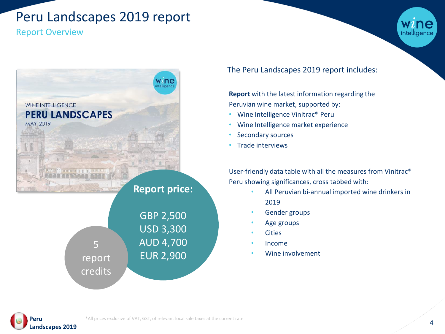# Peru Landscapes 2019 report

# Report Overview



**WINE INTELLIGENCE PERU LANDSCAPES** 

**MAY 2019** 

**Report price:**

|         | <b>GBP 2,500</b> |
|---------|------------------|
|         | <b>USD 3,300</b> |
| 5       | <b>AUD 4,700</b> |
| report  | <b>EUR 2,900</b> |
| credits |                  |

The Peru Landscapes 2019 report includes:

**Report** with the latest information regarding the Peruvian wine market, supported by:

- Wine Intelligence Vinitrac® Peru
- Wine Intelligence market experience
- Secondary sources
- Trade interviews

User-friendly data table with all the measures from Vinitrac® Peru showing significances, cross tabbed with:

- All Peruvian bi-annual imported wine drinkers in 2019
- Gender groups
- Age groups
- **Cities**
- Income
- Wine involvement

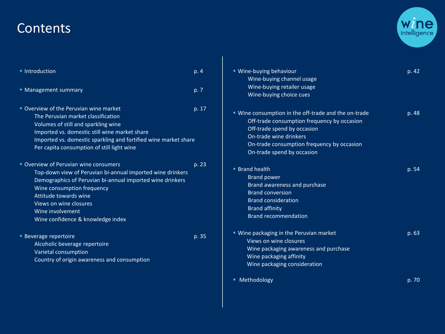# **Contents**



| • Introduction                                                  | p.4   | " Wine-buying behaviour                              | p. 42 |
|-----------------------------------------------------------------|-------|------------------------------------------------------|-------|
|                                                                 |       | Wine-buying channel usage                            |       |
| • Management summary                                            | p. 7  | Wine-buying retailer usage                           |       |
|                                                                 |       | Wine-buying choice cues                              |       |
| • Overview of the Peruvian wine market                          | p. 17 |                                                      |       |
| The Peruvian market classification                              |       | " Wine consumption in the off-trade and the on-trade | p. 48 |
| Volumes of still and sparkling wine                             |       | Off-trade consumption frequency by occasion          |       |
| Imported vs. domestic still wine market share                   |       | Off-trade spend by occasion                          |       |
| Imported vs. domestic sparkling and fortified wine market share |       | On-trade wine drinkers                               |       |
| Per capita consumption of still light wine                      |       | On-trade consumption frequency by occasion           |       |
|                                                                 |       | On-trade spend by occasion                           |       |
| " Overview of Peruvian wine consumers                           |       | <b>Brand health</b>                                  | p. 54 |
| Top-down view of Peruvian bi-annual imported wine drinkers      |       |                                                      |       |
| Demographics of Peruvian bi-annual imported wine drinkers       |       | <b>Brand power</b>                                   |       |
| Wine consumption frequency                                      |       | Brand awareness and purchase                         |       |
| Attitude towards wine                                           |       | <b>Brand conversion</b>                              |       |
| Views on wine closures                                          |       | <b>Brand consideration</b>                           |       |
| Wine involvement                                                |       | <b>Brand affinity</b>                                |       |
| Wine confidence & knowledge index                               |       | <b>Brand recommendation</b>                          |       |
| <b>Beverage repertoire</b>                                      | p. 35 | " Wine packaging in the Peruvian market              | p. 63 |
| Alcoholic beverage repertoire                                   |       | Views on wine closures                               |       |
| Varietal consumption                                            |       | Wine packaging awareness and purchase                |       |
| Country of origin awareness and consumption                     |       | Wine packaging affinity                              |       |
|                                                                 |       | Wine packaging consideration                         |       |
|                                                                 |       | ■ Methodology                                        | p. 70 |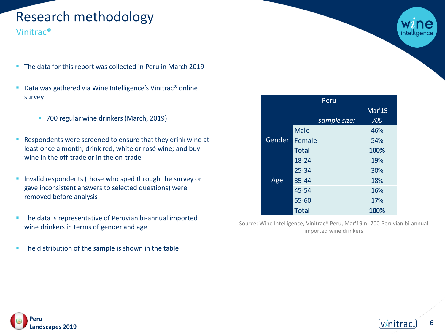# Research methodology

Vinitrac®

- The data for this report was collected in Peru in March 2019
- Data was gathered via Wine Intelligence's Vinitrac<sup>®</sup> online survey:
	- 700 regular wine drinkers (March, 2019)
- Respondents were screened to ensure that they drink wine at least once a month; drink red, white or rosé wine; and buy wine in the off-trade or in the on-trade
- **.** Invalid respondents (those who sped through the survey or gave inconsistent answers to selected questions) were removed before analysis
- **The data is representative of Peruvian bi-annual imported** wine drinkers in terms of gender and age
- The distribution of the sample is shown in the table

| Peru   |              |        |  |  |
|--------|--------------|--------|--|--|
|        |              | Mar'19 |  |  |
|        | sample size: | 700    |  |  |
| Gender | <b>Male</b>  | 46%    |  |  |
|        | Female       | 54%    |  |  |
|        | <b>Total</b> | 100%   |  |  |
| Age    | 18-24        | 19%    |  |  |
|        | $25 - 34$    | 30%    |  |  |
|        | 35-44        | 18%    |  |  |
|        | 45-54        | 16%    |  |  |
|        | 55-60        | 17%    |  |  |
|        | <b>Total</b> | 100%   |  |  |

Source: Wine Intelligence, Vinitrac® Peru, Mar'19 n=700 Peruvian bi-annual imported wine drinkers



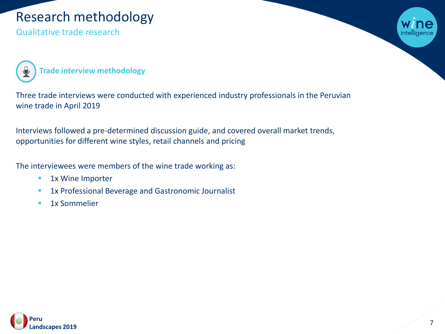# Research methodology

Qualitative trade research



**Trade interview methodology**

Three trade interviews were conducted with experienced industry professionals in the Peruvian wine trade in April 2019

Interviews followed a pre-determined discussion guide, and covered overall market trends, opportunities for different wine styles, retail channels and pricing

The interviewees were members of the wine trade working as:

- 1x Wine Importer
- **1x Professional Beverage and Gastronomic Journalist**
- **■** 1x Sommelier

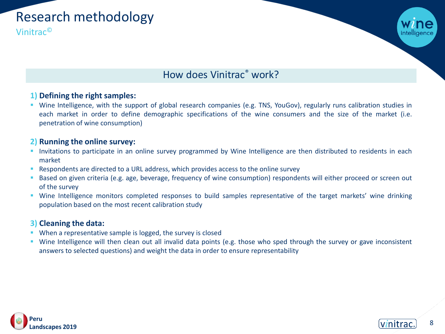

# How does Vinitrac® work?

# **1) Defining the right samples:**

■ Wine Intelligence, with the support of global research companies (e.g. TNS, YouGov), regularly runs calibration studies in each market in order to define demographic specifications of the wine consumers and the size of the market (i.e. penetration of wine consumption)

# **2) Running the online survey:**

- **·** Invitations to participate in an online survey programmed by Wine Intelligence are then distributed to residents in each market
- Respondents are directed to a URL address, which provides access to the online survey
- **Based on given criteria (e.g. age, beverage, frequency of wine consumption) respondents will either proceed or screen out** of the survey
- **■** Wine Intelligence monitors completed responses to build samples representative of the target markets' wine drinking population based on the most recent calibration study

# **3) Cleaning the data:**

- When a representative sample is logged, the survey is closed
- Wine Intelligence will then clean out all invalid data points (e.g. those who sped through the survey or gave inconsistent answers to selected questions) and weight the data in order to ensure representability



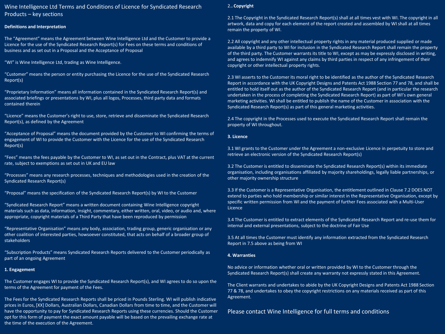### Wine Intelligence Ltd Terms and Conditions of Licence for Syndicated Research Products – key sections

#### **Definitions and Interpretation**

The "Agreement" means the Agreement between Wine Intelligence Ltd and the Customer to provide a Licence for the use of the Syndicated Research Report(s) for Fees on these terms and conditions of business and as set out in a Proposal and the Acceptance of Proposal

"WI" is Wine Intelligence Ltd, trading as Wine Intelligence.

"Customer" means the person or entity purchasing the Licence for the use of the Syndicated Research Report(s)

"Proprietary Information" means all information contained in the Syndicated Research Report(s) and associated briefings or presentations by WI, plus all logos, Processes, third party data and formats contained therein

"Licence" means the Customer's right to use, store, retrieve and disseminate the Syndicated Research Report(s), as defined by the Agreement

"Acceptance of Proposal" means the document provided by the Customer to WI confirming the terms of engagement of WI to provide the Customer with the Licence for the use of the Syndicated Research Report(s)

"Fees" means the fees payable by the Customer to WI, as set out in the Contract, plus VAT at the current rate, subject to exemptions as set out in UK and EU law

"Processes" means any research processes, techniques and methodologies used in the creation of the Syndicated Research Report(s)

"Proposal" means the specification of the Syndicated Research Report(s) by WI to the Customer

"Syndicated Research Report" means a written document containing Wine Intelligence copyright materials such as data, information, insight, commentary, either written, oral, video, or audio and, where appropriate, copyright materials of a Third Party that have been reproduced by permission

"Representative Organisation" means any body, association, trading group, generic organisation or any other coalition of interested parties, howsoever constituted, that acts on behalf of a broader group of stakeholders

"Subscription Products" means Syndicated Research Reports delivered to the Customer periodically as part of an ongoing Agreement

#### **1. Engagement**

The Customer engages WI to provide the Syndicated Research Report(s), and WI agrees to do so upon the terms of the Agreement for payment of the Fees.

opt for this form of payment the exact amount payable will be based on the prevailing exchange rate at at a stat<br>the time af the suscution af the Assessest the time of the execution of the Agreement.<br> The Fees for the Syndicated Research Reports shall be priced in Pounds Sterling. WI will publish indicative prices in Euros, [XX] Dollars, Australian Dollars, Canadian Dollars from time to time, and the Customer will have the opportunity to pay for Syndicated Research Reports using these currencies. Should the Customer

#### 2.**. Copyright**

2.1 The Copyright in the Syndicated Research Report(s) shall at all times vest with WI. The copyright in all artwork, data and copy for each element of the report created and assembled by WI shall at all times remain the property of WI.

2.2 All copyright and any other intellectual property rights in any material produced supplied or made available by a third party to WI for inclusion in the Syndicated Research Report shall remain the property of the third party. The Customer warrants its title to WI, except as may be expressly disclosed in writing, and agrees to indemnify WI against any claims by third parties in respect of any infringement of their copyright or other intellectual property rights.

2.3 WI asserts to the Customer its moral right to be identified as the author of the Syndicated Research Report in accordance with the UK Copyright Designs and Patents Act 1988 Section 77 and 78, and shall be entitled to hold itself out as the author of the Syndicated Research Report (and in particular the research undertaken in the process of completing the Syndicated Research Report) as part of WI's own general marketing activities. WI shall be entitled to publish the name of the Customer in association with the Syndicated Research Report(s) as part of this general marketing activities.

2.4 The copyright in the Processes used to execute the Syndicated Research Report shall remain the property of WI throughout.

#### **3. Licence**

3.1 WI grants to the Customer under the Agreement a non-exclusive Licence in perpetuity to store and retrieve an electronic version of the Syndicated Research Report(s)

3.2 The Customer is entitled to disseminate the Syndicated Research Report(s) within its immediate organisation, including organisations affiliated by majority shareholdings, legally liable partnerships, or other majority ownership structure

3.3 If the Customer is a Representative Organisation, the entitlement outlined in Clause 7.2 DOES NOT extend to parties who hold membership or similar interest in the Representative Organisation, except by specific written permission from WI and the payment of further Fees associated with a Multi-User Licence

3.4 The Customer is entitled to extract elements of the Syndicated Research Report and re-use them for internal and external presentations, subject to the doctrine of Fair Use

3.5 At all times the Customer must identify any information extracted from the Syndicated Research Report in 7.5 above as being from WI

#### **4. Warranties**

No advice or information whether oral or written provided by WI to the Customer through the Syndicated Research Report(s) shall create any warranty not expressly stated in this Agreement.

The Client warrants and undertakes to abide by the UK Copyright Designs and Patents Act 1988 Section 77 & 78, and undertakes to obey the copyright restrictions on any materials received as part of this Agreement.

Please contact Wine Intelligence for full terms and conditions